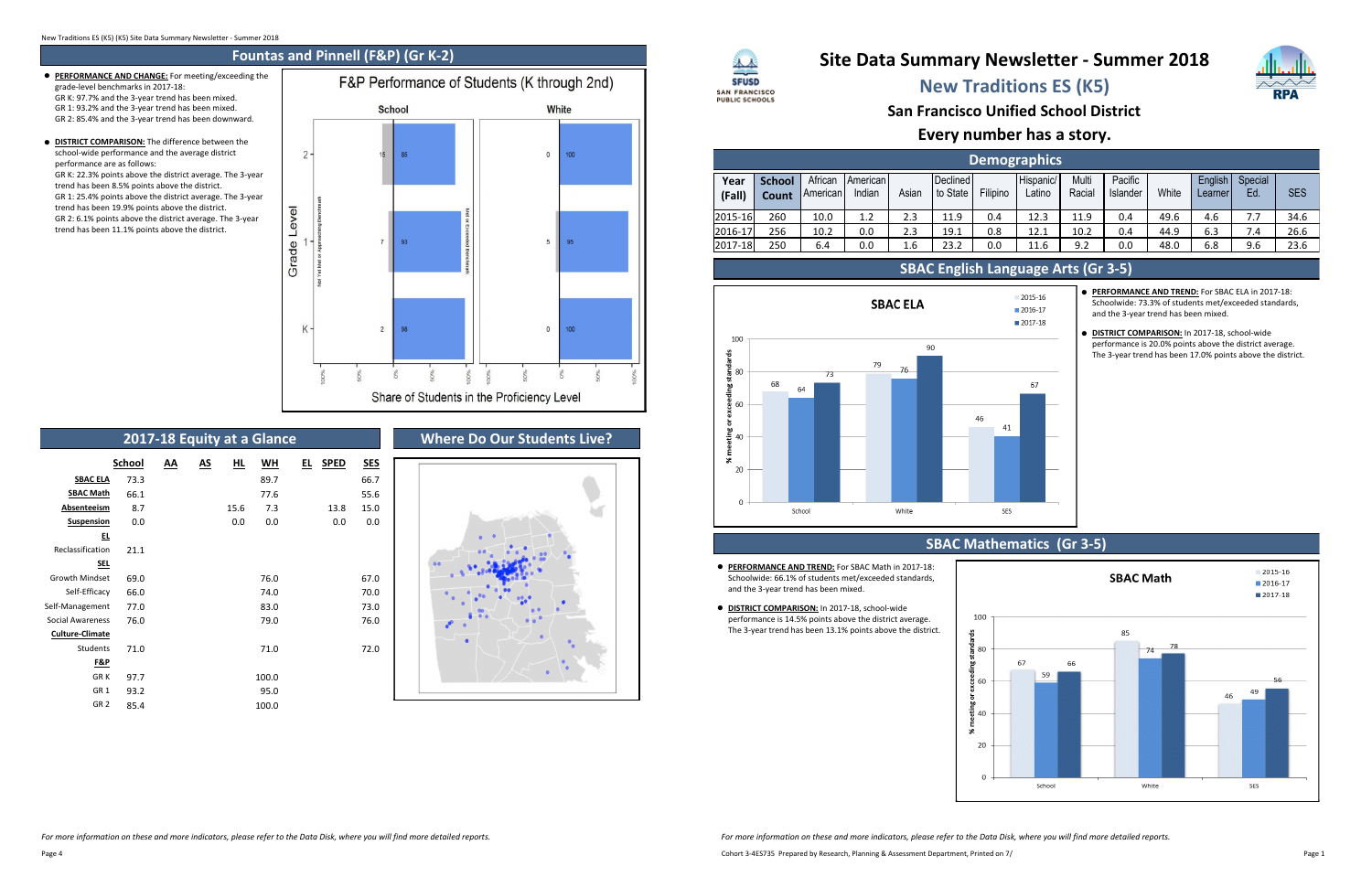# **New Traditions ES (K5)**

## **Every number has a story.**

**San Francisco Unified School District**

# **Site Data Summary Newsletter - Summer 2018**

| <b>Demographics</b> |                        |                     |                           |       |                      |          |                     |                 |                     |       |                    |               |            |
|---------------------|------------------------|---------------------|---------------------------|-------|----------------------|----------|---------------------|-----------------|---------------------|-------|--------------------|---------------|------------|
| Year<br>(Fall)      | <b>School</b><br>Count | African<br>American | <b>American</b><br>Indian | Asian | Declined<br>to State | Filipino | Hispanic/<br>Latino | Multi<br>Racial | Pacific<br>Islander | White | English<br>Learner | Special<br>Ed | <b>SES</b> |
| 2015-16             | 260                    | 10.0                | 1.2                       | 2.3   | 11.9                 | 0.4      | 12.3                | 11.9            | 0.4                 | 49.6  | 4.6                | 7.7           | 34.6       |
| 2016-17             | 256                    | 10.2                | 0.0                       | 2.3   | 19.1                 | 0.8      | 12.1                | 10.2            | 0.4                 | 44.9  | 6.3                | 7.4           | 26.6       |
| 2017-18             | 250                    | 6.4                 | 0.0                       | 1.6   | 23.2                 | 0.0      | 11.6                | 9.2             | 0.0                 | 48.0  | 6.8                | 9.6           | 23.6       |



- **PERFORMANCE AND TREND:** For SBAC ELA in 2017-18: Schoolwide: 73.3% of students met/exceeded standards, and the 3-year trend has been mixed.
- **DISTRICT COMPARISON:** In 2017-18, school-wide performance is 20.0% points above the district average. The 3-year trend has been 17.0% points above the district.

### **SBAC English Language Arts (Gr 3-5)**

- **PERFORMANCE AND TREND:** For SBAC Math in 2017-18: Schoolwide: 66.1% of students met/exceeded standards, and the 3-year trend has been mixed.
- **DISTRICT COMPARISON:** In 2017-18, school-wide performance is 14.5% points above the district average. The 3-year trend has been 13.1% points above the district.





- **PERFORMANCE AND CHANGE:** For meeting/exceeding the grade-level benchmarks in 2017-18: GR K: 97.7% and the 3-year trend has been mixed. GR 1: 93.2% and the 3-year trend has been mixed. GR 2: 85.4% and the 3-year trend has been downward.
- **OISTRICT COMPARISON:** The difference between the school-wide performance and the average district performance are as follows: GR K: 22.3% points above the district average. The 3-year trend has been 8.5% points above the district. GR 1: 25.4% points above the district average. The 3-year trend has been 19.9% points above the district. GR 2: 6.1% points above the district average. The 3-year trend has been 11.1% points above the district.



## **2017-18 Equity at a Glance**

|                         | <b>School</b> | ΑА | <u>AS</u> | HL.  | WH    | ᄄ | <b>SPED</b> | <u>SES</u> |
|-------------------------|---------------|----|-----------|------|-------|---|-------------|------------|
| <b>SBAC ELA</b>         | 73.3          |    |           |      | 89.7  |   |             | 66.7       |
| <b>SBAC Math</b>        | 66.1          |    |           |      | 77.6  |   |             | 55.6       |
| <b>Absenteeism</b>      | 8.7           |    |           | 15.6 | 7.3   |   | 13.8        | 15.0       |
| <b>Suspension</b>       | 0.0           |    |           | 0.0  | 0.0   |   | 0.0         | 0.0        |
| 旦                       |               |    |           |      |       |   |             |            |
| Reclassification        | 21.1          |    |           |      |       |   |             |            |
| <b>SEL</b>              |               |    |           |      |       |   |             |            |
| <b>Growth Mindset</b>   | 69.0          |    |           |      | 76.0  |   |             | 67.0       |
| Self-Efficacy           | 66.0          |    |           |      | 74.0  |   |             | 70.0       |
| Self-Management         | 77.0          |    |           |      | 83.0  |   |             | 73.0       |
| <b>Social Awareness</b> | 76.0          |    |           |      | 79.0  |   |             | 76.0       |
| <b>Culture-Climate</b>  |               |    |           |      |       |   |             |            |
| Students                | 71.0          |    |           |      | 71.0  |   |             | 72.0       |
| F&P                     |               |    |           |      |       |   |             |            |
| <b>GRK</b>              | 97.7          |    |           |      | 100.0 |   |             |            |
| GR <sub>1</sub>         | 93.2          |    |           |      | 95.0  |   |             |            |
| GR <sub>2</sub>         | 85.4          |    |           |      | 100.0 |   |             |            |

### **Where Do Our Students Live?**



### 人人 **SFUSD** SAN FRANCISCO **PUBLIC SCHOOLS**